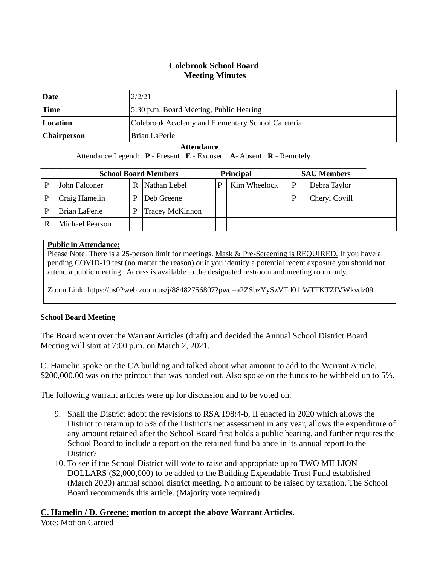# **Colebrook School Board Meeting Minutes**

| Date               | 2/2/21                                            |
|--------------------|---------------------------------------------------|
| <b>Time</b>        | 5:30 p.m. Board Meeting, Public Hearing           |
| Location           | Colebrook Academy and Elementary School Cafeteria |
| <b>Chairperson</b> | Brian LaPerle                                     |

#### **Attendance**

Attendance Legend: **P** - Present **E** - Excused **A**- Absent **R** - Remotely

| <b>School Board Members</b> |                 |   |                 | <b>Principal</b> |              | <b>SAU Members</b> |
|-----------------------------|-----------------|---|-----------------|------------------|--------------|--------------------|
|                             | John Falconer   | R | Nathan Lebel    |                  | Kim Wheelock | Debra Taylor       |
|                             | Craig Hamelin   | D | Deb Greene      |                  |              | Cheryl Covill      |
|                             | Brian LaPerle   | P | Tracey McKinnon |                  |              |                    |
|                             | Michael Pearson |   |                 |                  |              |                    |

### **Public in Attendance:**

Please Note: There is a 25-person limit for meetings. Mask & Pre-Screening is REQUIRED. If you have a pending COVID-19 test (no matter the reason) or if you identify a potential recent exposure you should **not** attend a public meeting. Access is available to the designated restroom and meeting room only.

Zoom Link: https://us02web.zoom.us/j/88482756807?pwd=a2ZSbzYySzVTd01rWTFKTZIVWkvdz09

### **School Board Meeting**

The Board went over the Warrant Articles (draft) and decided the Annual School District Board Meeting will start at 7:00 p.m. on March 2, 2021.

C. Hamelin spoke on the CA building and talked about what amount to add to the Warrant Article. \$200,000.00 was on the printout that was handed out. Also spoke on the funds to be withheld up to 5%.

The following warrant articles were up for discussion and to be voted on.

- 9. Shall the District adopt the revisions to RSA 198:4-b, II enacted in 2020 which allows the District to retain up to 5% of the District's net assessment in any year, allows the expenditure of any amount retained after the School Board first holds a public hearing, and further requires the School Board to include a report on the retained fund balance in its annual report to the District?
- 10. To see if the School District will vote to raise and appropriate up to TWO MILLION DOLLARS (\$2,000,000) to be added to the Building Expendable Trust Fund established (March 2020) annual school district meeting. No amount to be raised by taxation. The School Board recommends this article. (Majority vote required)

# **C. Hamelin / D. Greene: motion to accept the above Warrant Articles.**

Vote: Motion Carried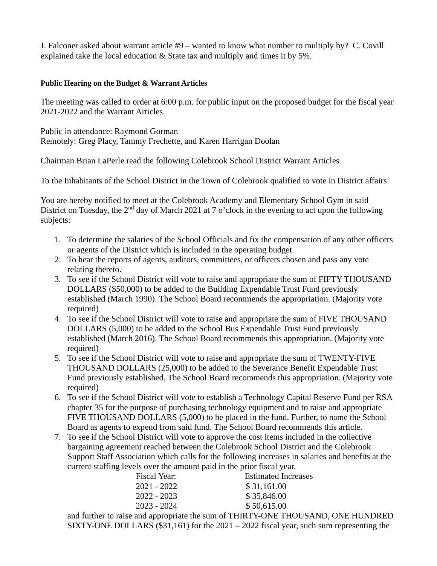J. Falconer asked about warrant article #9 – wanted to know what number to multiply by? C. Covill explained take the local education & State tax and multiply and times it by 5%.

## **Public Hearing on the Budget & Warrant Articles**

The meeting was called to order at 6:00 p.m. for public input on the proposed budget for the fiscal year 2021-2022 and the Warrant Articles.

Public in attendance: Raymond Gorman Remotely: Greg Placy, Tammy Frechette, and Karen Harrigan Doolan

Chairman Brian LaPerle read the following Colebrook School District Warrant Articles

To the Inhabitants of the School District in the Town of Colebrook qualified to vote in District affairs:

You are hereby notified to meet at the Colebrook Academy and Elementary School Gym in said District on Tuesday, the  $2<sup>nd</sup>$  day of March 2021 at 7 o'clock in the evening to act upon the following subjects:

- 1. To determine the salaries of the School Officials and fix the compensation of any other officers or agents of the District which is included in the operating budget.
- 2. To hear the reports of agents, auditors, committees, or officers chosen and pass any vote relating thereto.
- 3. To see if the School District will vote to raise and appropriate the sum of FIFTY THOUSAND DOLLARS (\$50,000) to be added to the Building Expendable Trust Fund previously established (March 1990). The School Board recommends the appropriation. (Majority vote required)
- 4. To see if the School District will vote to raise and appropriate the sum of FIVE THOUSAND DOLLARS (5,000) to be added to the School Bus Expendable Trust Fund previously established (March 2016). The School Board recommends this appropriation. (Majority vote required)
- 5. To see if the School District will vote to raise and appropriate the sum of TWENTY-FIVE THOUSAND DOLLARS (25,000) to be added to the Severance Benefit Expendable Trust Fund previously established. The School Board recommends this appropriation. (Majority vote required)
- 6. To see if the School District will vote to establish a Technology Capital Reserve Fund per RSA chapter 35 for the purpose of purchasing technology equipment and to raise and appropriate FIVE THOUSAND DOLLARS (5,000) to be placed in the fund. Further, to name the School Board as agents to expend from said fund. The School Board recommends this article.
- 7. To see if the School District will vote to approve the cost items included in the collective bargaining agreement reached between the Colebrook School District and the Colebrook Support Staff Association which calls for the following increases in salaries and benefits at the current staffing levels over the amount paid in the prior fiscal year.

| Fiscal Year: | <b>Estimated Increases</b> |
|--------------|----------------------------|
| 2021 - 2022  | \$31,161.00                |
| 2022 - 2023  | \$35,846.00                |
| 2023 - 2024  | \$50,615.00                |
|              |                            |

and further to raise and appropriate the sum of THIRTY-ONE THOUSAND, ONE HUNDRED SIXTY-ONE DOLLARS (\$31,161) for the 2021 – 2022 fiscal year, such sum representing the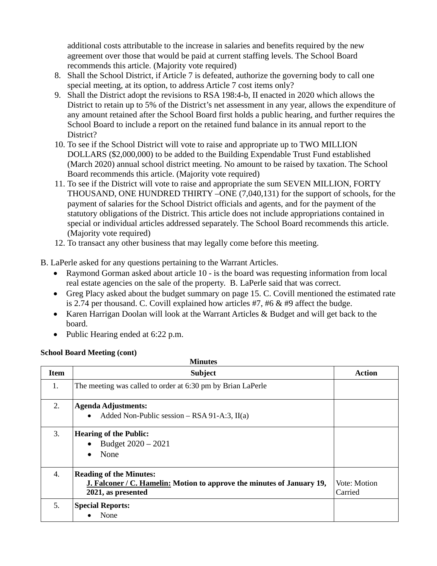additional costs attributable to the increase in salaries and benefits required by the new agreement over those that would be paid at current staffing levels. The School Board recommends this article. (Majority vote required)

- 8. Shall the School District, if Article 7 is defeated, authorize the governing body to call one special meeting, at its option, to address Article 7 cost items only?
- 9. Shall the District adopt the revisions to RSA 198:4-b, II enacted in 2020 which allows the District to retain up to 5% of the District's net assessment in any year, allows the expenditure of any amount retained after the School Board first holds a public hearing, and further requires the School Board to include a report on the retained fund balance in its annual report to the District?
- 10. To see if the School District will vote to raise and appropriate up to TWO MILLION DOLLARS (\$2,000,000) to be added to the Building Expendable Trust Fund established (March 2020) annual school district meeting. No amount to be raised by taxation. The School Board recommends this article. (Majority vote required)
- 11. To see if the District will vote to raise and appropriate the sum SEVEN MILLION, FORTY THOUSAND, ONE HUNDRED THIRTY –ONE (7,040,131) for the support of schools, for the payment of salaries for the School District officials and agents, and for the payment of the statutory obligations of the District. This article does not include appropriations contained in special or individual articles addressed separately. The School Board recommends this article. (Majority vote required)
- 12. To transact any other business that may legally come before this meeting.
- B. LaPerle asked for any questions pertaining to the Warrant Articles.
	- Raymond Gorman asked about article 10 is the board was requesting information from local real estate agencies on the sale of the property. B. LaPerle said that was correct.
	- Greg Placy asked about the budget summary on page 15. C. Covill mentioned the estimated rate is 2.74 per thousand. C. Covill explained how articles #7, #6 & #9 affect the budge.
	- Karen Harrigan Doolan will look at the Warrant Articles & Budget and will get back to the board.
	- Public Hearing ended at 6:22 p.m.

### **School Board Meeting (cont)**

| <b>Minutes</b>   |                                                                                                                                |                         |  |  |
|------------------|--------------------------------------------------------------------------------------------------------------------------------|-------------------------|--|--|
| <b>Item</b>      | <b>Subject</b>                                                                                                                 | <b>Action</b>           |  |  |
| 1.               | The meeting was called to order at 6:30 pm by Brian LaPerle                                                                    |                         |  |  |
| 2.               | <b>Agenda Adjustments:</b><br>Added Non-Public session – RSA 91-A:3, $II(a)$<br>$\bullet$                                      |                         |  |  |
| 3.               | <b>Hearing of the Public:</b><br>Budget 2020 - 2021<br>None<br>$\bullet$                                                       |                         |  |  |
| $\overline{4}$ . | <b>Reading of the Minutes:</b><br>J. Falconer / C. Hamelin: Motion to approve the minutes of January 19,<br>2021, as presented | Vote: Motion<br>Carried |  |  |
| 5.               | <b>Special Reports:</b><br>None                                                                                                |                         |  |  |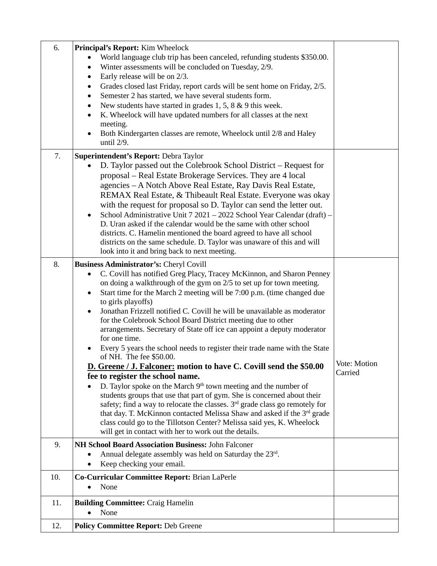| 6.  | <b>Principal's Report:</b> Kim Wheelock<br>World language club trip has been canceled, refunding students \$350.00.<br>Winter assessments will be concluded on Tuesday, 2/9.<br>Early release will be on 2/3.<br>٠<br>Grades closed last Friday, report cards will be sent home on Friday, 2/5.<br>٠<br>Semester 2 has started, we have several students form.<br>$\bullet$<br>New students have started in grades 1, 5, 8 $\&$ 9 this week.<br>٠<br>K. Wheelock will have updated numbers for all classes at the next<br>٠<br>meeting.<br>Both Kindergarten classes are remote, Wheelock until 2/8 and Haley<br>$\bullet$<br>until $2/9$ .                                                                                                                                                                                                                                                                                                                                                                                                                                                                                                                                                                               |                         |
|-----|---------------------------------------------------------------------------------------------------------------------------------------------------------------------------------------------------------------------------------------------------------------------------------------------------------------------------------------------------------------------------------------------------------------------------------------------------------------------------------------------------------------------------------------------------------------------------------------------------------------------------------------------------------------------------------------------------------------------------------------------------------------------------------------------------------------------------------------------------------------------------------------------------------------------------------------------------------------------------------------------------------------------------------------------------------------------------------------------------------------------------------------------------------------------------------------------------------------------------|-------------------------|
| 7.  | Superintendent's Report: Debra Taylor<br>D. Taylor passed out the Colebrook School District – Request for<br>proposal – Real Estate Brokerage Services. They are 4 local<br>agencies – A Notch Above Real Estate, Ray Davis Real Estate,<br>REMAX Real Estate, & Thibeault Real Estate. Everyone was okay<br>with the request for proposal so D. Taylor can send the letter out.<br>School Administrative Unit 7 2021 - 2022 School Year Calendar (draft) -<br>$\bullet$<br>D. Uran asked if the calendar would be the same with other school<br>districts. C. Hamelin mentioned the board agreed to have all school<br>districts on the same schedule. D. Taylor was unaware of this and will<br>look into it and bring back to next meeting.                                                                                                                                                                                                                                                                                                                                                                                                                                                                            |                         |
| 8.  | Business Administrator's: Cheryl Covill<br>C. Covill has notified Greg Placy, Tracey McKinnon, and Sharon Penney<br>on doing a walkthrough of the gym on $2/5$ to set up for town meeting.<br>Start time for the March 2 meeting will be 7:00 p.m. (time changed due<br>٠<br>to girls playoffs)<br>Jonathan Frizzell notified C. Covill he will be unavailable as moderator<br>for the Colebrook School Board District meeting due to other<br>arrangements. Secretary of State off ice can appoint a deputy moderator<br>for one time.<br>Every 5 years the school needs to register their trade name with the State<br>of NH. The fee \$50.00.<br>D. Greene / J. Falconer: motion to have C. Covill send the \$50.00<br>fee to register the school name.<br>D. Taylor spoke on the March $9th$ town meeting and the number of<br>٠<br>students groups that use that part of gym. She is concerned about their<br>safety; find a way to relocate the classes. $3rd$ grade class go remotely for<br>that day. T. McKinnon contacted Melissa Shaw and asked if the 3 <sup>rd</sup> grade<br>class could go to the Tillotson Center? Melissa said yes, K. Wheelock<br>will get in contact with her to work out the details. | Vote: Motion<br>Carried |
| 9.  | NH School Board Association Business: John Falconer<br>Annual delegate assembly was held on Saturday the 23rd.<br>Keep checking your email.                                                                                                                                                                                                                                                                                                                                                                                                                                                                                                                                                                                                                                                                                                                                                                                                                                                                                                                                                                                                                                                                               |                         |
| 10. | Co-Curricular Committee Report: Brian LaPerle<br>None                                                                                                                                                                                                                                                                                                                                                                                                                                                                                                                                                                                                                                                                                                                                                                                                                                                                                                                                                                                                                                                                                                                                                                     |                         |
| 11. | <b>Building Committee: Craig Hamelin</b><br>None                                                                                                                                                                                                                                                                                                                                                                                                                                                                                                                                                                                                                                                                                                                                                                                                                                                                                                                                                                                                                                                                                                                                                                          |                         |
| 12. | <b>Policy Committee Report: Deb Greene</b>                                                                                                                                                                                                                                                                                                                                                                                                                                                                                                                                                                                                                                                                                                                                                                                                                                                                                                                                                                                                                                                                                                                                                                                |                         |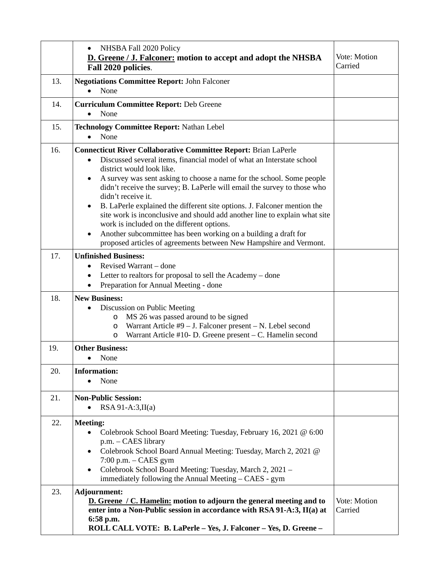|     | NHSBA Fall 2020 Policy<br>$\bullet$<br><b>D. Greene / J. Falconer: motion to accept and adopt the NHSBA</b><br>Fall 2020 policies.                                                                                                                                                                                                                                                                                                                                                                                                                                                                                                                                                                                                                   | Vote: Motion<br>Carried |
|-----|------------------------------------------------------------------------------------------------------------------------------------------------------------------------------------------------------------------------------------------------------------------------------------------------------------------------------------------------------------------------------------------------------------------------------------------------------------------------------------------------------------------------------------------------------------------------------------------------------------------------------------------------------------------------------------------------------------------------------------------------------|-------------------------|
| 13. | <b>Negotiations Committee Report: John Falconer</b><br>None<br>$\bullet$                                                                                                                                                                                                                                                                                                                                                                                                                                                                                                                                                                                                                                                                             |                         |
| 14. | <b>Curriculum Committee Report: Deb Greene</b><br>None                                                                                                                                                                                                                                                                                                                                                                                                                                                                                                                                                                                                                                                                                               |                         |
| 15. | <b>Technology Committee Report: Nathan Lebel</b><br>None<br>$\bullet$                                                                                                                                                                                                                                                                                                                                                                                                                                                                                                                                                                                                                                                                                |                         |
| 16. | <b>Connecticut River Collaborative Committee Report: Brian LaPerle</b><br>Discussed several items, financial model of what an Interstate school<br>$\bullet$<br>district would look like.<br>A survey was sent asking to choose a name for the school. Some people<br>٠<br>didn't receive the survey; B. LaPerle will email the survey to those who<br>didn't receive it.<br>B. LaPerle explained the different site options. J. Falconer mention the<br>$\bullet$<br>site work is inconclusive and should add another line to explain what site<br>work is included on the different options.<br>Another subcommittee has been working on a building a draft for<br>$\bullet$<br>proposed articles of agreements between New Hampshire and Vermont. |                         |
| 17. | <b>Unfinished Business:</b><br>Revised Warrant - done<br>٠<br>Letter to realtors for proposal to sell the Academy – done<br>٠<br>Preparation for Annual Meeting - done                                                                                                                                                                                                                                                                                                                                                                                                                                                                                                                                                                               |                         |
| 18. | <b>New Business:</b><br>Discussion on Public Meeting<br>MS 26 was passed around to be signed<br>$\circ$<br>Warrant Article #9 - J. Falconer present - N. Lebel second<br>$\circ$<br>Warrant Article #10- D. Greene present - C. Hamelin second<br>$\circ$                                                                                                                                                                                                                                                                                                                                                                                                                                                                                            |                         |
| 19. | <b>Other Business:</b><br>None<br>$\bullet$                                                                                                                                                                                                                                                                                                                                                                                                                                                                                                                                                                                                                                                                                                          |                         |
| 20. | <b>Information:</b><br>None                                                                                                                                                                                                                                                                                                                                                                                                                                                                                                                                                                                                                                                                                                                          |                         |
| 21. | <b>Non-Public Session:</b><br>$RSA 91-A:3,II(a)$<br>$\bullet$                                                                                                                                                                                                                                                                                                                                                                                                                                                                                                                                                                                                                                                                                        |                         |
| 22. | <b>Meeting:</b><br>Colebrook School Board Meeting: Tuesday, February 16, 2021 @ 6:00<br>$\bullet$<br>p.m. - CAES library<br>Colebrook School Board Annual Meeting: Tuesday, March 2, 2021 @<br>$\bullet$<br>$7:00$ p.m. $-$ CAES gym<br>Colebrook School Board Meeting: Tuesday, March 2, 2021 -<br>$\bullet$<br>immediately following the Annual Meeting – CAES - gym                                                                                                                                                                                                                                                                                                                                                                               |                         |
| 23. | Adjournment:<br>D. Greene / C. Hamelin: motion to adjourn the general meeting and to<br>enter into a Non-Public session in accordance with RSA 91-A:3, II(a) at<br>6:58 p.m.<br>ROLL CALL VOTE: B. LaPerle - Yes, J. Falconer - Yes, D. Greene -                                                                                                                                                                                                                                                                                                                                                                                                                                                                                                     | Vote: Motion<br>Carried |